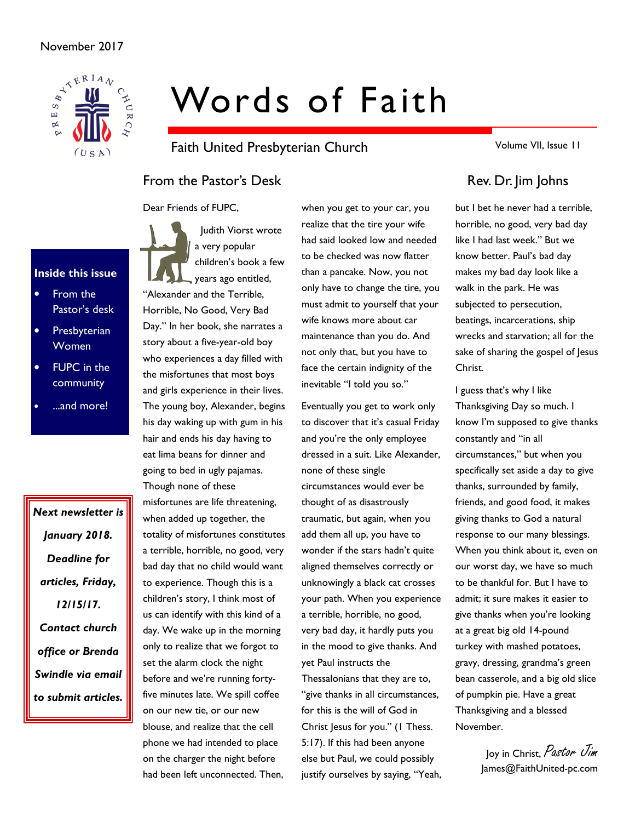

# Words of Faith

Faith United Presbyterian Church

From the Pastor's Desk Rev. Dr. Jim Johns

Dear Friends of FUPC,



• From the Pastor's desk

Inside this issue

- **Presbyterian** Women
- **FUPC** in the community
- ...and more!

Next newsletter is January 2018. Deadline for articles, Friday, 12/15/17. Contact church office or Brenda Swindle via email to submit articles.

 Judith Viorst wrote a very popular children's book a few years ago entitled, "Alexander and the Terrible, Horrible, No Good, Very Bad Day." In her book, she narrates a story about a five-year-old boy who experiences a day filled with the misfortunes that most boys and girls experience in their lives. The young boy, Alexander, begins his day waking up with gum in his hair and ends his day having to eat lima beans for dinner and going to bed in ugly pajamas. Though none of these misfortunes are life threatening,

when added up together, the totality of misfortunes constitutes a terrible, horrible, no good, very bad day that no child would want to experience. Though this is a children's story, I think most of us can identify with this kind of a day. We wake up in the morning only to realize that we forgot to set the alarm clock the night before and we're running fortyfive minutes late. We spill coffee on our new tie, or our new blouse, and realize that the cell phone we had intended to place on the charger the night before had been left unconnected. Then,

when you get to your car, you realize that the tire your wife had said looked low and needed to be checked was now flatter than a pancake. Now, you not only have to change the tire, you must admit to yourself that your wife knows more about car maintenance than you do. And not only that, but you have to face the certain indignity of the inevitable "I told you so."

Eventually you get to work only to discover that it's casual Friday and you're the only employee dressed in a suit. Like Alexander, none of these single circumstances would ever be thought of as disastrously traumatic, but again, when you add them all up, you have to wonder if the stars hadn't quite aligned themselves correctly or unknowingly a black cat crosses your path. When you experience a terrible, horrible, no good, very bad day, it hardly puts you in the mood to give thanks. And yet Paul instructs the

Thessalonians that they are to, "give thanks in all circumstances, for this is the will of God in Christ Jesus for you." (1 Thess. 5:17). If this had been anyone else but Paul, we could possibly justify ourselves by saying, "Yeah, Volume VII, Issue 11

but I bet he never had a terrible, horrible, no good, very bad day like I had last week." But we know better. Paul's bad day makes my bad day look like a walk in the park. He was subjected to persecution, beatings, incarcerations, ship wrecks and starvation; all for the sake of sharing the gospel of Jesus Christ.

I guess that's why I like Thanksgiving Day so much. I know I'm supposed to give thanks constantly and "in all circumstances," but when you specifically set aside a day to give thanks, surrounded by family, friends, and good food, it makes giving thanks to God a natural response to our many blessings. When you think about it, even on our worst day, we have so much to be thankful for. But I have to admit; it sure makes it easier to give thanks when you're looking at a great big old 14-pound turkey with mashed potatoes, gravy, dressing, grandma's green bean casserole, and a big old slice of pumpkin pie. Have a great Thanksgiving and a blessed November.

> Joy in Christ, Pastor Jim James@FaithUnited-pc.com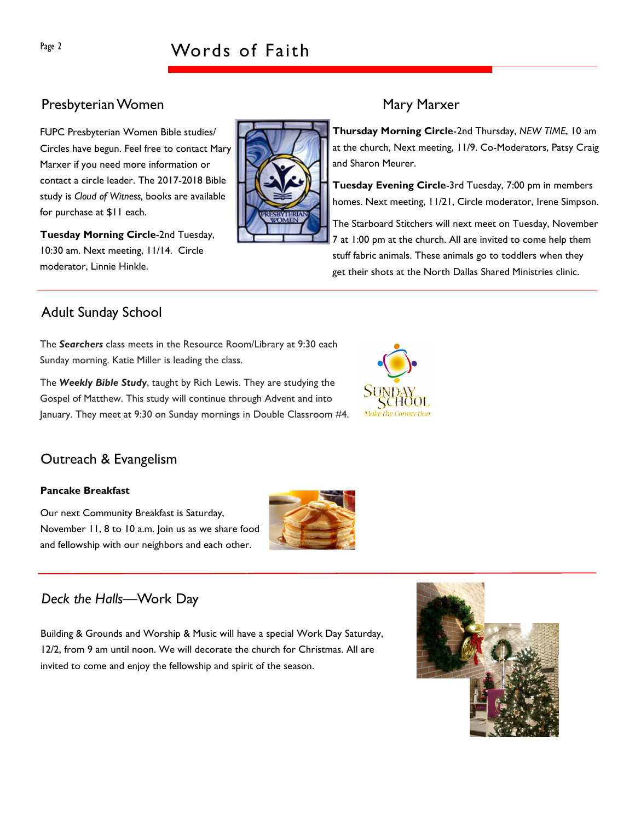# Page 2 Words of Faith

# Presbyterian Women Mary Marxer

FUPC Presbyterian Women Bible studies/ Circles have begun. Feel free to contact Mary Marxer if you need more information or contact a circle leader. The 2017-2018 Bible study is Cloud of Witness, books are available for purchase at \$11 each.

Tuesday Morning Circle-2nd Tuesday, 10:30 am. Next meeting, 11/14. Circle moderator, Linnie Hinkle.

Thursday Morning Circle-2nd Thursday, NEW TIME, 10 am at the church, Next meeting, 11/9. Co-Moderators, Patsy Craig and Sharon Meurer.

Tuesday Evening Circle-3rd Tuesday, 7:00 pm in members homes. Next meeting, 11/21, Circle moderator, Irene Simpson.

The Starboard Stitchers will next meet on Tuesday, November 7 at 1:00 pm at the church. All are invited to come help them stuff fabric animals. These animals go to toddlers when they get their shots at the North Dallas Shared Ministries clinic.

# Adult Sunday School

The Searchers class meets in the Resource Room/Library at 9:30 each Sunday morning. Katie Miller is leading the class.

The Weekly Bible Study, taught by Rich Lewis. They are studying the Gospel of Matthew. This study will continue through Advent and into January. They meet at 9:30 on Sunday mornings in Double Classroom #4.



# Outreach & Evangelism

#### Pancake Breakfast

Our next Community Breakfast is Saturday, November 11, 8 to 10 a.m. Join us as we share food and fellowship with our neighbors and each other.



# Deck the Halls—Work Day

Building & Grounds and Worship & Music will have a special Work Day Saturday, 12/2, from 9 am until noon. We will decorate the church for Christmas. All are invited to come and enjoy the fellowship and spirit of the season.

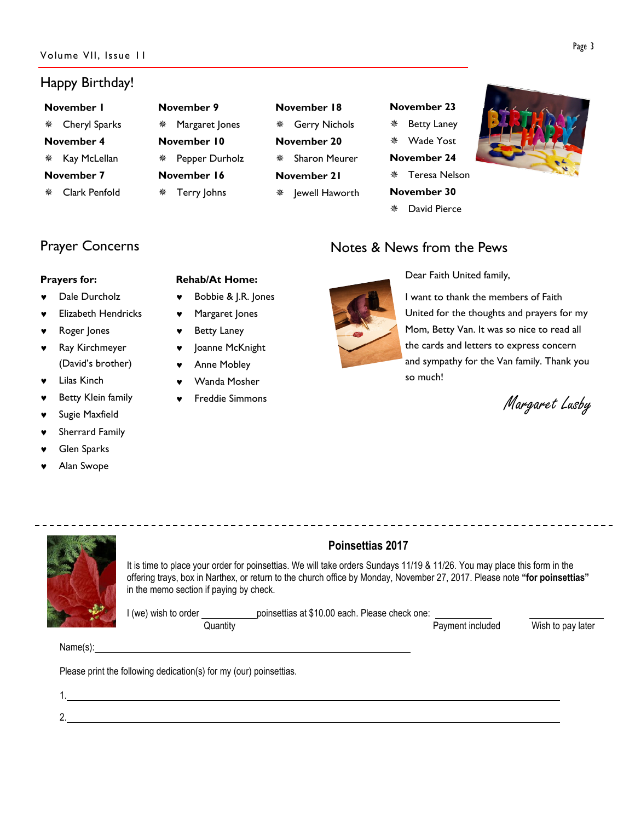## Happy Birthday!

#### November 1

- Cheryl Sparks
- November 4
- ※ Kay McLellan

#### November 7

Clark Penfold

# November 9 Margaret Jones November 10 Pepper Durholz November 16 Terry Johns

# November 18 Gerry Nichols November 20 Sharon Meurer November 21

**\*** Jewell Haworth

# November 23 Betty Laney Wade Yost November 24 Teresa Nelson

- November 30
- David Pierce

Notes & News from the Pews



# Prayer Concerns

#### Prayers for:

- Dale Durcholz
- **Elizabeth Hendricks**
- Roger Jones
- Ray Kirchmeyer (David's brother)
- **Lilas Kinch**
- Betty Klein family
- Sugie Maxfield
- Sherrard Family
- **Glen Sparks**
- Alan Swope

## Rehab/At Home:

- ♥ Bobbie & J.R. Jones
- ♥ Margaret Jones
- **Betty Laney**
- ♥ Joanne McKnight
- **Anne Mobley**
- Wanda Mosher
- Freddie Simmons



Dear Faith United family,

I want to thank the members of Faith United for the thoughts and prayers for my Mom, Betty Van. It was so nice to read all the cards and letters to express concern and sympathy for the Van family. Thank you so much!

\_\_\_\_\_\_\_\_\_\_\_\_\_\_\_\_\_\_\_\_\_\_\_\_\_\_\_\_\_\_

Margaret Lusby

#### Poinsettias 2017 It is time to place your order for poinsettias. We will take orders Sundays 11/19 & 11/26. You may place this form in the offering trays, box in Narthex, or return to the church office by Monday, November 27, 2017. Please note "for poinsettias" in the memo section if paying by check.

I (we) wish to order poinsettias at \$10.00 each. Please check one: Quantity Payment included Wish to pay later

Name(s):

Please print the following dedication(s) for my (our) poinsettias.

1.

2.